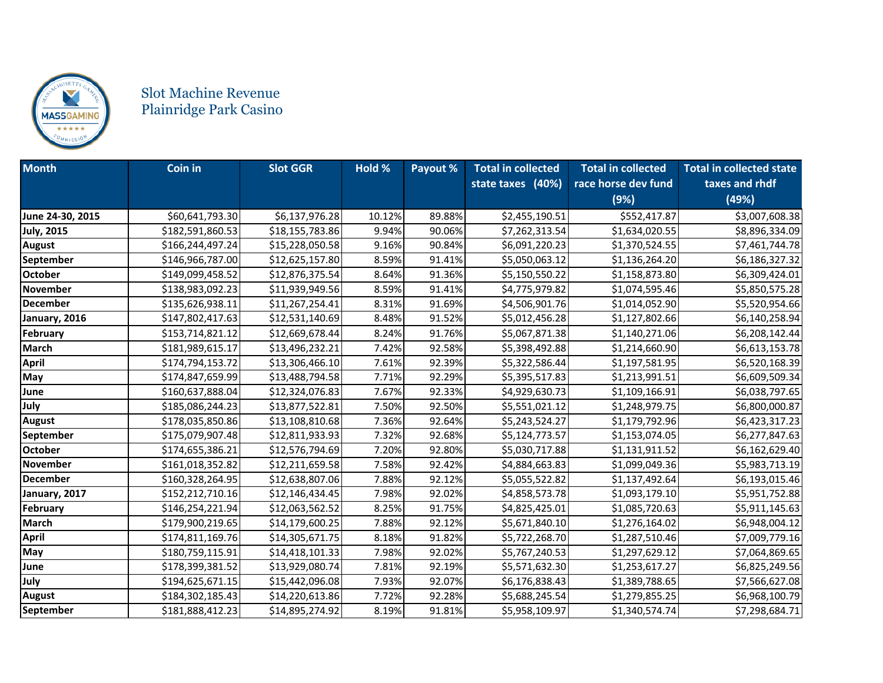

## Slot Machine Revenue Plainridge Park Casino

| <b>Month</b>      | Coin in          | <b>Slot GGR</b> | Hold % | Payout % | <b>Total in collected</b><br>state taxes (40%) | <b>Total in collected</b><br>race horse dev fund | <b>Total in collected state</b><br>taxes and rhdf |
|-------------------|------------------|-----------------|--------|----------|------------------------------------------------|--------------------------------------------------|---------------------------------------------------|
|                   |                  |                 |        |          |                                                | (9%)                                             | (49%)                                             |
| June 24-30, 2015  | \$60,641,793.30  | \$6,137,976.28  | 10.12% | 89.88%   | \$2,455,190.51                                 | \$552,417.87                                     | \$3,007,608.38                                    |
| <b>July, 2015</b> | \$182,591,860.53 | \$18,155,783.86 | 9.94%  | 90.06%   | \$7,262,313.54                                 | \$1,634,020.55                                   | \$8,896,334.09                                    |
| <b>August</b>     | \$166,244,497.24 | \$15,228,050.58 | 9.16%  | 90.84%   | \$6,091,220.23                                 | \$1,370,524.55                                   | \$7,461,744.78                                    |
| September         | \$146,966,787.00 | \$12,625,157.80 | 8.59%  | 91.41%   | \$5,050,063.12                                 | \$1,136,264.20                                   | \$6,186,327.32                                    |
| <b>October</b>    | \$149,099,458.52 | \$12,876,375.54 | 8.64%  | 91.36%   | \$5,150,550.22                                 | \$1,158,873.80                                   | \$6,309,424.01                                    |
| <b>November</b>   | \$138,983,092.23 | \$11,939,949.56 | 8.59%  | 91.41%   | \$4,775,979.82                                 | \$1,074,595.46                                   | \$5,850,575.28                                    |
| <b>December</b>   | \$135,626,938.11 | \$11,267,254.41 | 8.31%  | 91.69%   | \$4,506,901.76                                 | \$1,014,052.90                                   | \$5,520,954.66                                    |
| January, 2016     | \$147,802,417.63 | \$12,531,140.69 | 8.48%  | 91.52%   | \$5,012,456.28                                 | \$1,127,802.66                                   | \$6,140,258.94                                    |
| February          | \$153,714,821.12 | \$12,669,678.44 | 8.24%  | 91.76%   | \$5,067,871.38                                 | \$1,140,271.06                                   | \$6,208,142.44                                    |
| <b>March</b>      | \$181,989,615.17 | \$13,496,232.21 | 7.42%  | 92.58%   | \$5,398,492.88                                 | \$1,214,660.90                                   | \$6,613,153.78                                    |
| April             | \$174,794,153.72 | \$13,306,466.10 | 7.61%  | 92.39%   | \$5,322,586.44                                 | \$1,197,581.95                                   | \$6,520,168.39                                    |
| May               | \$174,847,659.99 | \$13,488,794.58 | 7.71%  | 92.29%   | \$5,395,517.83                                 | \$1,213,991.51                                   | \$6,609,509.34                                    |
| June              | \$160,637,888.04 | \$12,324,076.83 | 7.67%  | 92.33%   | \$4,929,630.73                                 | \$1,109,166.91                                   | \$6,038,797.65                                    |
| July              | \$185,086,244.23 | \$13,877,522.81 | 7.50%  | 92.50%   | \$5,551,021.12                                 | \$1,248,979.75                                   | \$6,800,000.87                                    |
| <b>August</b>     | \$178,035,850.86 | \$13,108,810.68 | 7.36%  | 92.64%   | \$5,243,524.27                                 | \$1,179,792.96                                   | \$6,423,317.23                                    |
| September         | \$175,079,907.48 | \$12,811,933.93 | 7.32%  | 92.68%   | \$5,124,773.57                                 | \$1,153,074.05                                   | \$6,277,847.63                                    |
| <b>October</b>    | \$174,655,386.21 | \$12,576,794.69 | 7.20%  | 92.80%   | \$5,030,717.88                                 | \$1,131,911.52                                   | \$6,162,629.40                                    |
| November          | \$161,018,352.82 | \$12,211,659.58 | 7.58%  | 92.42%   | \$4,884,663.83                                 | \$1,099,049.36                                   | \$5,983,713.19                                    |
| <b>December</b>   | \$160,328,264.95 | \$12,638,807.06 | 7.88%  | 92.12%   | \$5,055,522.82                                 | \$1,137,492.64                                   | \$6,193,015.46                                    |
| January, 2017     | \$152,212,710.16 | \$12,146,434.45 | 7.98%  | 92.02%   | \$4,858,573.78                                 | \$1,093,179.10                                   | \$5,951,752.88                                    |
| February          | \$146,254,221.94 | \$12,063,562.52 | 8.25%  | 91.75%   | \$4,825,425.01                                 | \$1,085,720.63                                   | \$5,911,145.63                                    |
| <b>March</b>      | \$179,900,219.65 | \$14,179,600.25 | 7.88%  | 92.12%   | \$5,671,840.10                                 | \$1,276,164.02                                   | \$6,948,004.12                                    |
| April             | \$174,811,169.76 | \$14,305,671.75 | 8.18%  | 91.82%   | \$5,722,268.70                                 | \$1,287,510.46                                   | \$7,009,779.16                                    |
| May               | \$180,759,115.91 | \$14,418,101.33 | 7.98%  | 92.02%   | \$5,767,240.53                                 | \$1,297,629.12                                   | \$7,064,869.65                                    |
| June              | \$178,399,381.52 | \$13,929,080.74 | 7.81%  | 92.19%   | \$5,571,632.30                                 | \$1,253,617.27                                   | \$6,825,249.56                                    |
| July              | \$194,625,671.15 | \$15,442,096.08 | 7.93%  | 92.07%   | \$6,176,838.43                                 | \$1,389,788.65                                   | \$7,566,627.08                                    |
| <b>August</b>     | \$184,302,185.43 | \$14,220,613.86 | 7.72%  | 92.28%   | \$5,688,245.54                                 | \$1,279,855.25                                   | \$6,968,100.79                                    |
| September         | \$181,888,412.23 | \$14,895,274.92 | 8.19%  | 91.81%   | \$5,958,109.97                                 | \$1,340,574.74                                   | \$7,298,684.71                                    |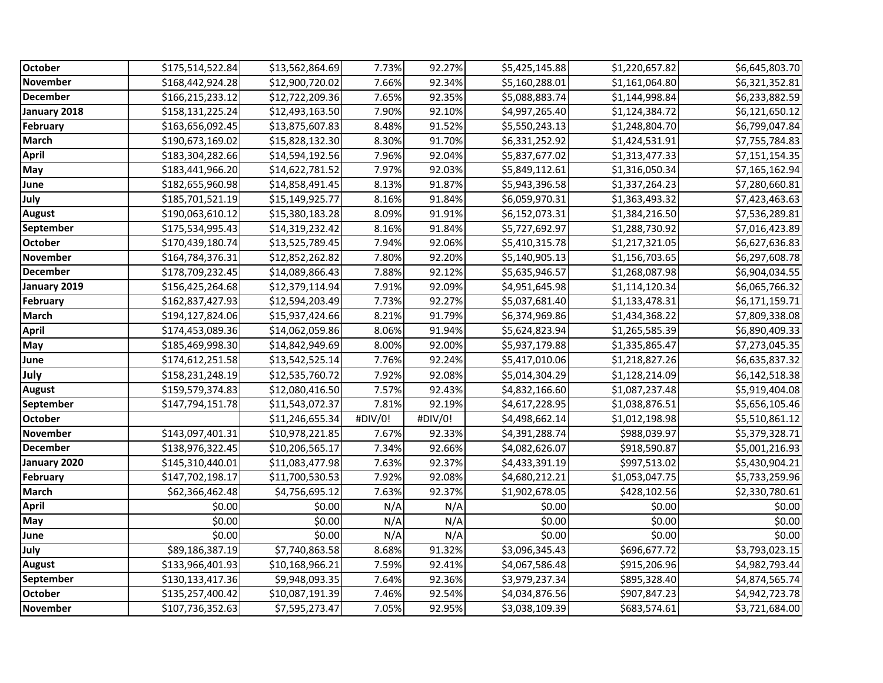| <b>October</b>          | \$175,514,522.84 | \$13,562,864.69 | 7.73%   | 92.27%  | \$5,425,145.88 | \$1,220,657.82 | \$6,645,803.70 |
|-------------------------|------------------|-----------------|---------|---------|----------------|----------------|----------------|
| November                | \$168,442,924.28 | \$12,900,720.02 | 7.66%   | 92.34%  | \$5,160,288.01 | \$1,161,064.80 | \$6,321,352.81 |
| <b>December</b>         | \$166,215,233.12 | \$12,722,209.36 | 7.65%   | 92.35%  | \$5,088,883.74 | \$1,144,998.84 | \$6,233,882.59 |
| January 2018            | \$158,131,225.24 | \$12,493,163.50 | 7.90%   | 92.10%  | \$4,997,265.40 | \$1,124,384.72 | \$6,121,650.12 |
| February                | \$163,656,092.45 | \$13,875,607.83 | 8.48%   | 91.52%  | \$5,550,243.13 | \$1,248,804.70 | \$6,799,047.84 |
| <b>March</b>            | \$190,673,169.02 | \$15,828,132.30 | 8.30%   | 91.70%  | \$6,331,252.92 | \$1,424,531.91 | \$7,755,784.83 |
| <b>April</b>            | \$183,304,282.66 | \$14,594,192.56 | 7.96%   | 92.04%  | \$5,837,677.02 | \$1,313,477.33 | \$7,151,154.35 |
| May                     | \$183,441,966.20 | \$14,622,781.52 | 7.97%   | 92.03%  | \$5,849,112.61 | \$1,316,050.34 | \$7,165,162.94 |
| June                    | \$182,655,960.98 | \$14,858,491.45 | 8.13%   | 91.87%  | \$5,943,396.58 | \$1,337,264.23 | \$7,280,660.81 |
| July                    | \$185,701,521.19 | \$15,149,925.77 | 8.16%   | 91.84%  | \$6,059,970.31 | \$1,363,493.32 | \$7,423,463.63 |
| August                  | \$190,063,610.12 | \$15,380,183.28 | 8.09%   | 91.91%  | \$6,152,073.31 | \$1,384,216.50 | \$7,536,289.81 |
| September               | \$175,534,995.43 | \$14,319,232.42 | 8.16%   | 91.84%  | \$5,727,692.97 | \$1,288,730.92 | \$7,016,423.89 |
| <b>October</b>          | \$170,439,180.74 | \$13,525,789.45 | 7.94%   | 92.06%  | \$5,410,315.78 | \$1,217,321.05 | \$6,627,636.83 |
| <b>November</b>         | \$164,784,376.31 | \$12,852,262.82 | 7.80%   | 92.20%  | \$5,140,905.13 | \$1,156,703.65 | \$6,297,608.78 |
| <b>December</b>         | \$178,709,232.45 | \$14,089,866.43 | 7.88%   | 92.12%  | \$5,635,946.57 | \$1,268,087.98 | \$6,904,034.55 |
| January 2019            | \$156,425,264.68 | \$12,379,114.94 | 7.91%   | 92.09%  | \$4,951,645.98 | \$1,114,120.34 | \$6,065,766.32 |
| February                | \$162,837,427.93 | \$12,594,203.49 | 7.73%   | 92.27%  | \$5,037,681.40 | \$1,133,478.31 | \$6,171,159.71 |
| <b>March</b>            | \$194,127,824.06 | \$15,937,424.66 | 8.21%   | 91.79%  | \$6,374,969.86 | \$1,434,368.22 | \$7,809,338.08 |
| <b>April</b>            | \$174,453,089.36 | \$14,062,059.86 | 8.06%   | 91.94%  | \$5,624,823.94 | \$1,265,585.39 | \$6,890,409.33 |
| May                     | \$185,469,998.30 | \$14,842,949.69 | 8.00%   | 92.00%  | \$5,937,179.88 | \$1,335,865.47 | \$7,273,045.35 |
| June                    | \$174,612,251.58 | \$13,542,525.14 | 7.76%   | 92.24%  | \$5,417,010.06 | \$1,218,827.26 | \$6,635,837.32 |
| July                    | \$158,231,248.19 | \$12,535,760.72 | 7.92%   | 92.08%  | \$5,014,304.29 | \$1,128,214.09 | \$6,142,518.38 |
| <b>August</b>           | \$159,579,374.83 | \$12,080,416.50 | 7.57%   | 92.43%  | \$4,832,166.60 | \$1,087,237.48 | \$5,919,404.08 |
| <b>September</b>        | \$147,794,151.78 | \$11,543,072.37 | 7.81%   | 92.19%  | \$4,617,228.95 | \$1,038,876.51 | \$5,656,105.46 |
| <b>October</b>          |                  | \$11,246,655.34 | #DIV/0! | #DIV/0! | \$4,498,662.14 | \$1,012,198.98 | \$5,510,861.12 |
| <b>November</b>         | \$143,097,401.31 | \$10,978,221.85 | 7.67%   | 92.33%  | \$4,391,288.74 | \$988,039.97   | \$5,379,328.71 |
| <b>December</b>         | \$138,976,322.45 | \$10,206,565.17 | 7.34%   | 92.66%  | \$4,082,626.07 | \$918,590.87   | \$5,001,216.93 |
| January 2020            | \$145,310,440.01 | \$11,083,477.98 | 7.63%   | 92.37%  | \$4,433,391.19 | \$997,513.02   | \$5,430,904.21 |
| February                | \$147,702,198.17 | \$11,700,530.53 | 7.92%   | 92.08%  | \$4,680,212.21 | \$1,053,047.75 | \$5,733,259.96 |
| <b>March</b>            | \$62,366,462.48  | \$4,756,695.12  | 7.63%   | 92.37%  | \$1,902,678.05 | \$428,102.56   | \$2,330,780.61 |
| <b>April</b>            | \$0.00           | \$0.00          | N/A     | N/A     | \$0.00         | \$0.00         | \$0.00         |
| $\overline{\text{May}}$ | \$0.00           | \$0.00          | N/A     | N/A     | \$0.00         | \$0.00         | \$0.00         |
| June                    | \$0.00           | \$0.00          | N/A     | N/A     | \$0.00         | \$0.00         | \$0.00         |
| July                    | \$89,186,387.19  | \$7,740,863.58  | 8.68%   | 91.32%  | \$3,096,345.43 | \$696,677.72   | \$3,793,023.15 |
| August                  | \$133,966,401.93 | \$10,168,966.21 | 7.59%   | 92.41%  | \$4,067,586.48 | \$915,206.96   | \$4,982,793.44 |
| September               | \$130,133,417.36 | \$9,948,093.35  | 7.64%   | 92.36%  | \$3,979,237.34 | \$895,328.40   | \$4,874,565.74 |
| October                 | \$135,257,400.42 | \$10,087,191.39 | 7.46%   | 92.54%  | \$4,034,876.56 | \$907,847.23   | \$4,942,723.78 |
| <b>November</b>         | \$107,736,352.63 | \$7,595,273.47  | 7.05%   | 92.95%  | \$3,038,109.39 | \$683,574.61   | \$3,721,684.00 |